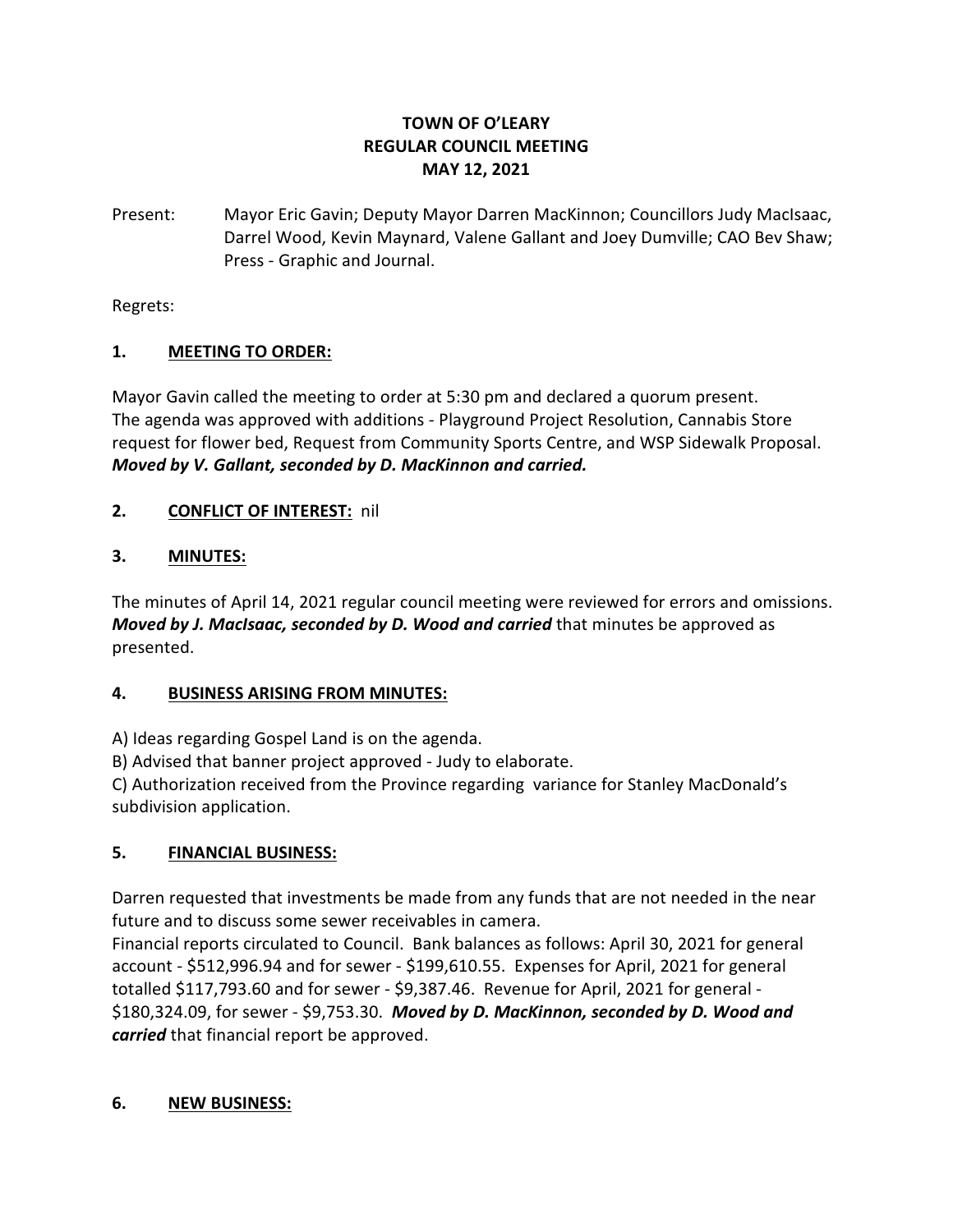# **TOWN OF O'LEARY REGULAR COUNCIL MEETING MAY 12, 2021**

Present: Mayor Eric Gavin; Deputy Mayor Darren MacKinnon; Councillors Judy MacIsaac, Darrel Wood, Kevin Maynard, Valene Gallant and Joey Dumville; CAO Bev Shaw; Press - Graphic and Journal.

Regrets:

## **1. MEETING TO ORDER:**

Mayor Gavin called the meeting to order at 5:30 pm and declared a quorum present. The agenda was approved with additions - Playground Project Resolution, Cannabis Store request for flower bed, Request from Community Sports Centre, and WSP Sidewalk Proposal. *Moved by V. Gallant, seconded by D. MacKinnon and carried.*

## **2. CONFLICT OF INTEREST:** nil

## **3. MINUTES:**

The minutes of April 14, 2021 regular council meeting were reviewed for errors and omissions. *Moved by J. MacIsaac, seconded by D. Wood and carried* that minutes be approved as presented.

#### **4. BUSINESS ARISING FROM MINUTES:**

A) Ideas regarding Gospel Land is on the agenda.

B) Advised that banner project approved - Judy to elaborate.

C) Authorization received from the Province regarding variance for Stanley MacDonald's subdivision application.

# **5. FINANCIAL BUSINESS:**

Darren requested that investments be made from any funds that are not needed in the near future and to discuss some sewer receivables in camera.

Financial reports circulated to Council. Bank balances as follows: April 30, 2021 for general account - \$512,996.94 and for sewer - \$199,610.55. Expenses for April, 2021 for general totalled \$117,793.60 and for sewer - \$9,387.46. Revenue for April, 2021 for general - \$180,324.09, for sewer - \$9,753.30. *Moved by D. MacKinnon, seconded by D. Wood and carried* that financial report be approved.

#### **6. NEW BUSINESS:**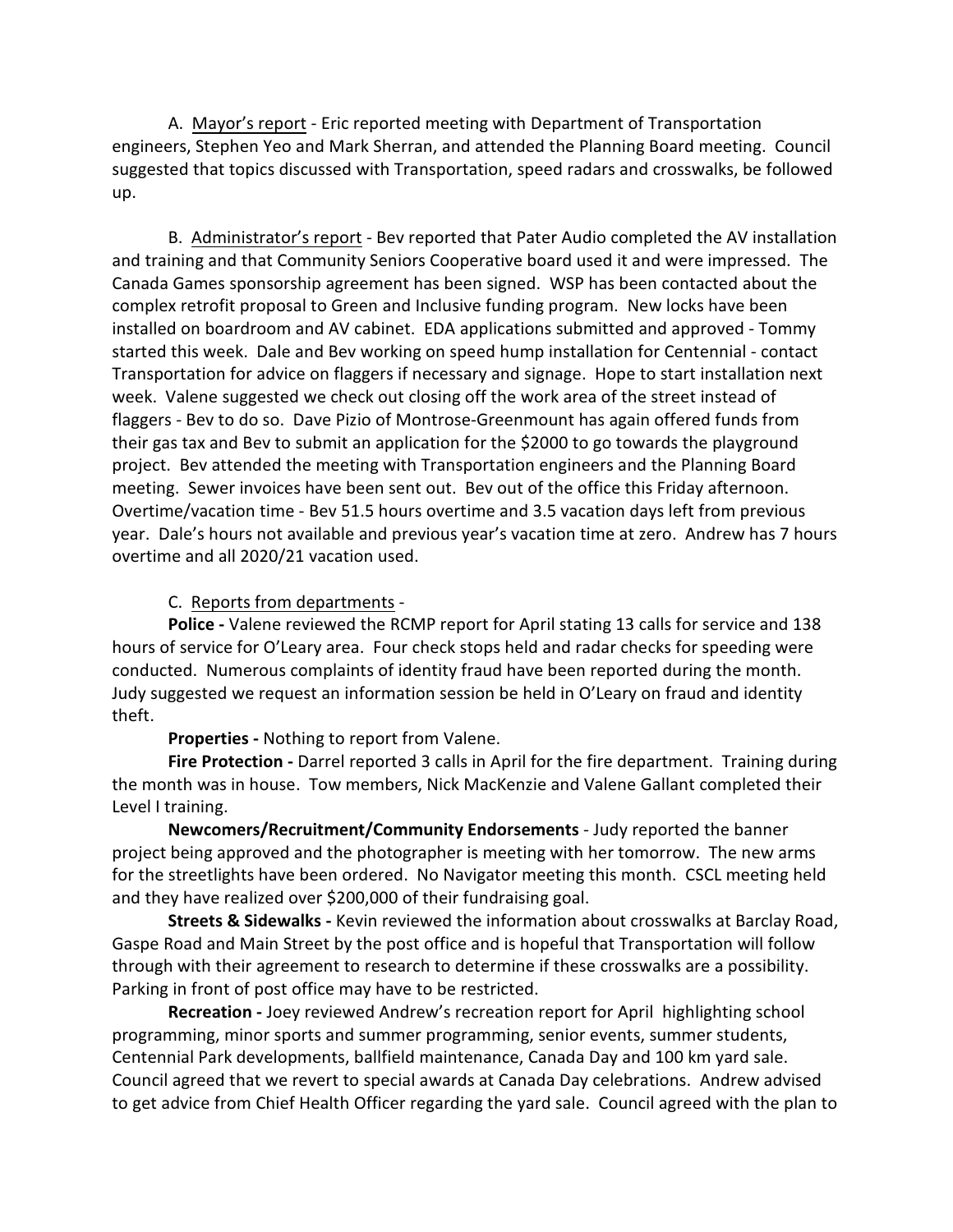A. Mayor's report - Eric reported meeting with Department of Transportation engineers, Stephen Yeo and Mark Sherran, and attended the Planning Board meeting. Council suggested that topics discussed with Transportation, speed radars and crosswalks, be followed up.

B. Administrator's report - Bev reported that Pater Audio completed the AV installation and training and that Community Seniors Cooperative board used it and were impressed. The Canada Games sponsorship agreement has been signed. WSP has been contacted about the complex retrofit proposal to Green and Inclusive funding program. New locks have been installed on boardroom and AV cabinet. EDA applications submitted and approved - Tommy started this week. Dale and Bev working on speed hump installation for Centennial - contact Transportation for advice on flaggers if necessary and signage. Hope to start installation next week. Valene suggested we check out closing off the work area of the street instead of flaggers - Bev to do so. Dave Pizio of Montrose-Greenmount has again offered funds from their gas tax and Bev to submit an application for the \$2000 to go towards the playground project. Bev attended the meeting with Transportation engineers and the Planning Board meeting. Sewer invoices have been sent out. Bev out of the office this Friday afternoon. Overtime/vacation time - Bev 51.5 hours overtime and 3.5 vacation days left from previous year. Dale's hours not available and previous year's vacation time at zero. Andrew has 7 hours overtime and all 2020/21 vacation used.

C. Reports from departments -

**Police -** Valene reviewed the RCMP report for April stating 13 calls for service and 138 hours of service for O'Leary area. Four check stops held and radar checks for speeding were conducted. Numerous complaints of identity fraud have been reported during the month. Judy suggested we request an information session be held in O'Leary on fraud and identity theft.

**Properties -** Nothing to report from Valene.

Fire Protection - Darrel reported 3 calls in April for the fire department. Training during the month was in house. Tow members, Nick MacKenzie and Valene Gallant completed their Level I training.

**Newcomers/Recruitment/Community Endorsements** - Judy reported the banner project being approved and the photographer is meeting with her tomorrow. The new arms for the streetlights have been ordered. No Navigator meeting this month. CSCL meeting held and they have realized over \$200,000 of their fundraising goal.

**Streets & Sidewalks -** Kevin reviewed the information about crosswalks at Barclay Road, Gaspe Road and Main Street by the post office and is hopeful that Transportation will follow through with their agreement to research to determine if these crosswalks are a possibility. Parking in front of post office may have to be restricted.

**Recreation -** Joey reviewed Andrew's recreation report for April highlighting school programming, minor sports and summer programming, senior events, summer students, Centennial Park developments, ballfield maintenance, Canada Day and 100 km yard sale. Council agreed that we revert to special awards at Canada Day celebrations. Andrew advised to get advice from Chief Health Officer regarding the yard sale. Council agreed with the plan to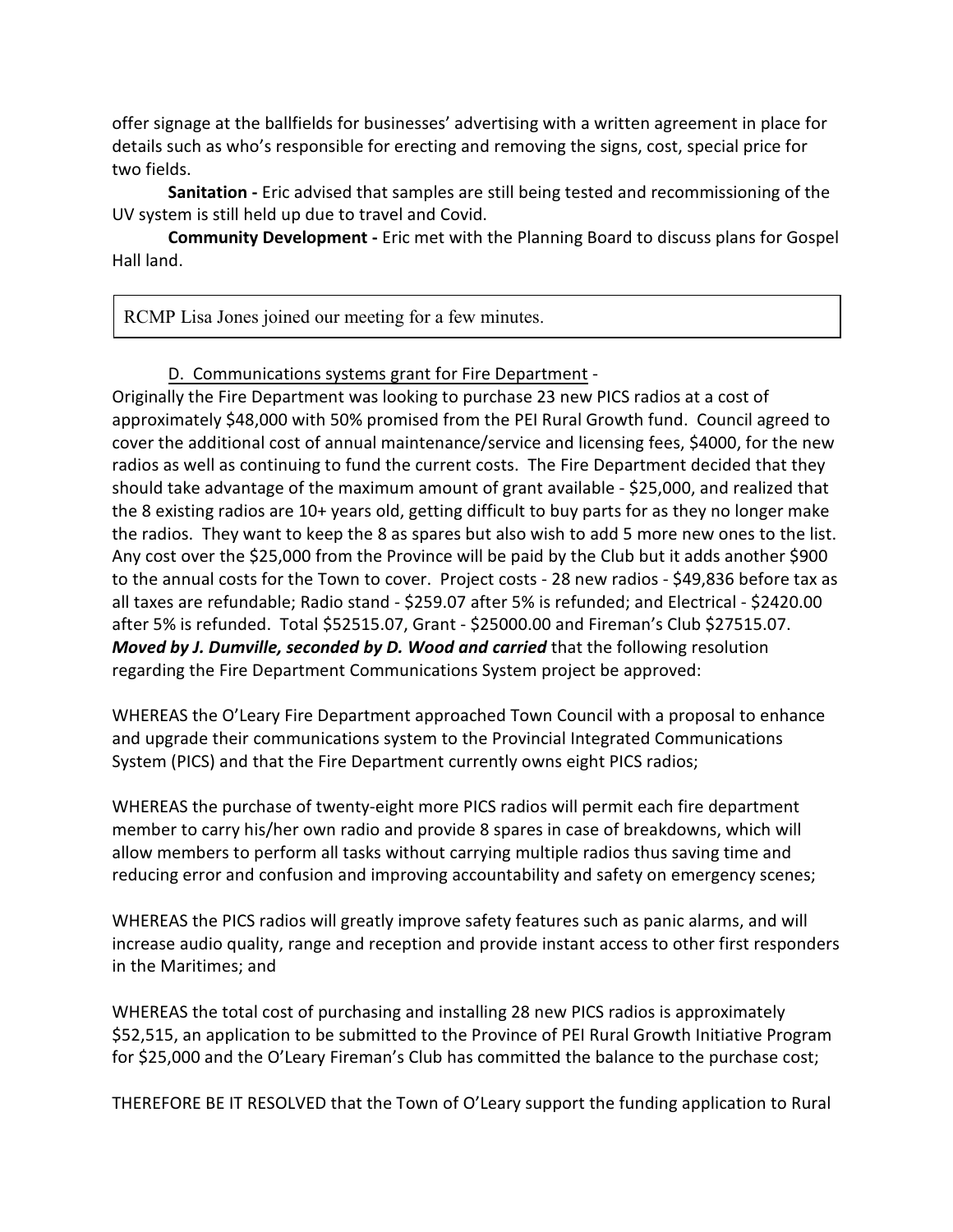offer signage at the ballfields for businesses' advertising with a written agreement in place for details such as who's responsible for erecting and removing the signs, cost, special price for two fields.

**Sanitation -** Eric advised that samples are still being tested and recommissioning of the UV system is still held up due to travel and Covid.

**Community Development -** Eric met with the Planning Board to discuss plans for Gospel Hall land.

RCMP Lisa Jones joined our meeting for a few minutes.

D. Communications systems grant for Fire Department -

Originally the Fire Department was looking to purchase 23 new PICS radios at a cost of approximately \$48,000 with 50% promised from the PEI Rural Growth fund. Council agreed to cover the additional cost of annual maintenance/service and licensing fees, \$4000, for the new radios as well as continuing to fund the current costs. The Fire Department decided that they should take advantage of the maximum amount of grant available - \$25,000, and realized that the 8 existing radios are 10+ years old, getting difficult to buy parts for as they no longer make the radios. They want to keep the 8 as spares but also wish to add 5 more new ones to the list. Any cost over the \$25,000 from the Province will be paid by the Club but it adds another \$900 to the annual costs for the Town to cover. Project costs - 28 new radios - \$49,836 before tax as all taxes are refundable; Radio stand - \$259.07 after 5% is refunded; and Electrical - \$2420.00 after 5% is refunded. Total \$52515.07, Grant - \$25000.00 and Fireman's Club \$27515.07. *Moved by J. Dumville, seconded by D. Wood and carried* that the following resolution regarding the Fire Department Communications System project be approved:

WHEREAS the O'Leary Fire Department approached Town Council with a proposal to enhance and upgrade their communications system to the Provincial Integrated Communications System (PICS) and that the Fire Department currently owns eight PICS radios;

WHEREAS the purchase of twenty-eight more PICS radios will permit each fire department member to carry his/her own radio and provide 8 spares in case of breakdowns, which will allow members to perform all tasks without carrying multiple radios thus saving time and reducing error and confusion and improving accountability and safety on emergency scenes;

WHEREAS the PICS radios will greatly improve safety features such as panic alarms, and will increase audio quality, range and reception and provide instant access to other first responders in the Maritimes; and

WHEREAS the total cost of purchasing and installing 28 new PICS radios is approximately \$52,515, an application to be submitted to the Province of PEI Rural Growth Initiative Program for \$25,000 and the O'Leary Fireman's Club has committed the balance to the purchase cost;

THEREFORE BE IT RESOLVED that the Town of O'Leary support the funding application to Rural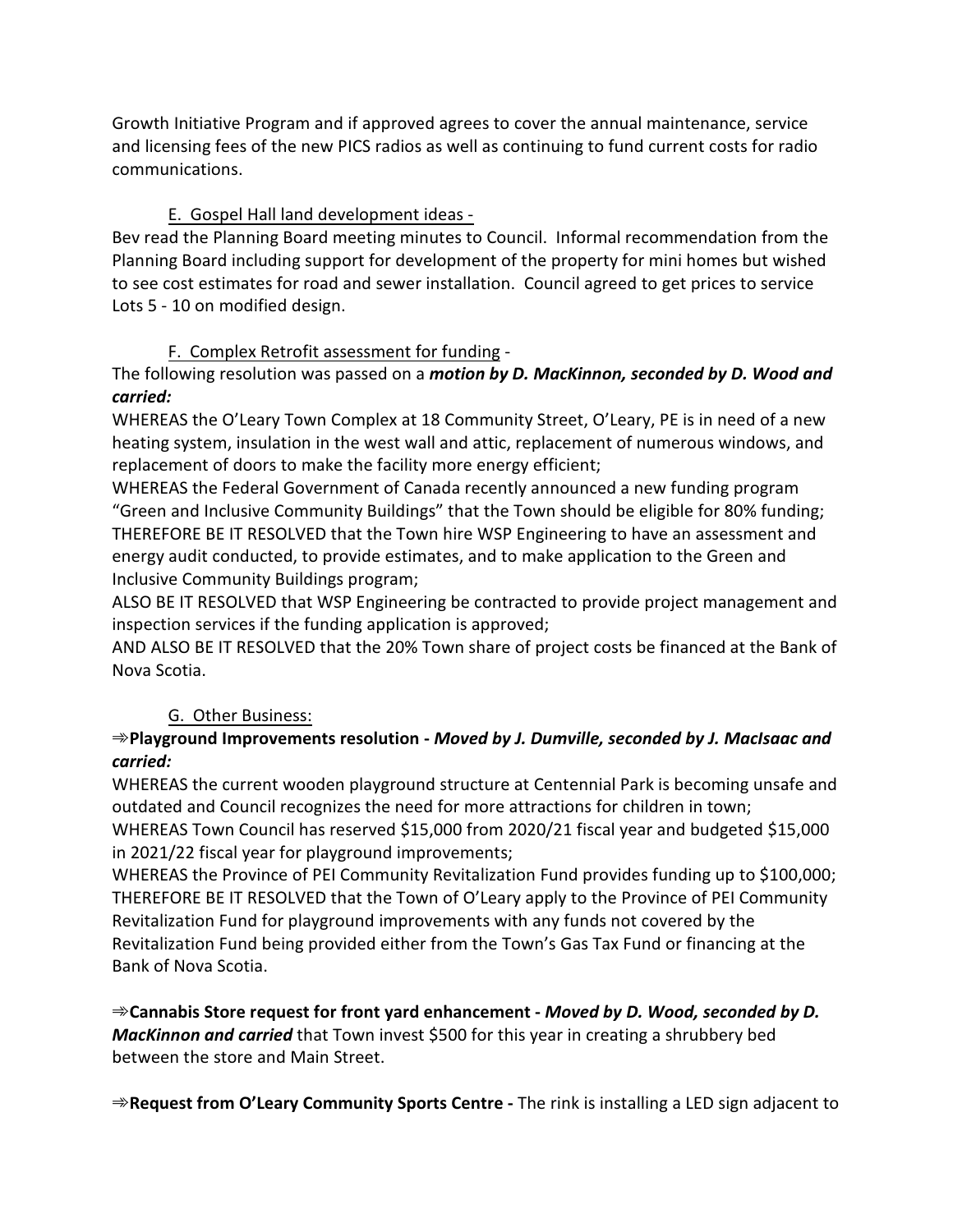Growth Initiative Program and if approved agrees to cover the annual maintenance, service and licensing fees of the new PICS radios as well as continuing to fund current costs for radio communications.

# E. Gospel Hall land development ideas -

Bev read the Planning Board meeting minutes to Council. Informal recommendation from the Planning Board including support for development of the property for mini homes but wished to see cost estimates for road and sewer installation. Council agreed to get prices to service Lots 5 - 10 on modified design.

# F. Complex Retrofit assessment for funding -

The following resolution was passed on a *motion by D. MacKinnon, seconded by D. Wood and carried:*

WHEREAS the O'Leary Town Complex at 18 Community Street, O'Leary, PE is in need of a new heating system, insulation in the west wall and attic, replacement of numerous windows, and replacement of doors to make the facility more energy efficient;

WHEREAS the Federal Government of Canada recently announced a new funding program "Green and Inclusive Community Buildings" that the Town should be eligible for 80% funding; THEREFORE BE IT RESOLVED that the Town hire WSP Engineering to have an assessment and energy audit conducted, to provide estimates, and to make application to the Green and Inclusive Community Buildings program;

ALSO BE IT RESOLVED that WSP Engineering be contracted to provide project management and inspection services if the funding application is approved;

AND ALSO BE IT RESOLVED that the 20% Town share of project costs be financed at the Bank of Nova Scotia.

# G. Other Business:

## A**Playground Improvements resolution -** *Moved by J. Dumville, seconded by J. MacIsaac and carried:*

WHEREAS the current wooden playground structure at Centennial Park is becoming unsafe and outdated and Council recognizes the need for more attractions for children in town;

WHEREAS Town Council has reserved \$15,000 from 2020/21 fiscal year and budgeted \$15,000 in 2021/22 fiscal year for playground improvements;

WHEREAS the Province of PEI Community Revitalization Fund provides funding up to \$100,000; THEREFORE BE IT RESOLVED that the Town of O'Leary apply to the Province of PEI Community Revitalization Fund for playground improvements with any funds not covered by the Revitalization Fund being provided either from the Town's Gas Tax Fund or financing at the Bank of Nova Scotia.

<sup>→</sup> Cannabis Store request for front yard enhancement - *Moved by D. Wood, seconded by D. MacKinnon and carried* that Town invest \$500 for this year in creating a shrubbery bed between the store and Main Street.

**⇒Request from O'Leary Community Sports Centre -** The rink is installing a LED sign adjacent to